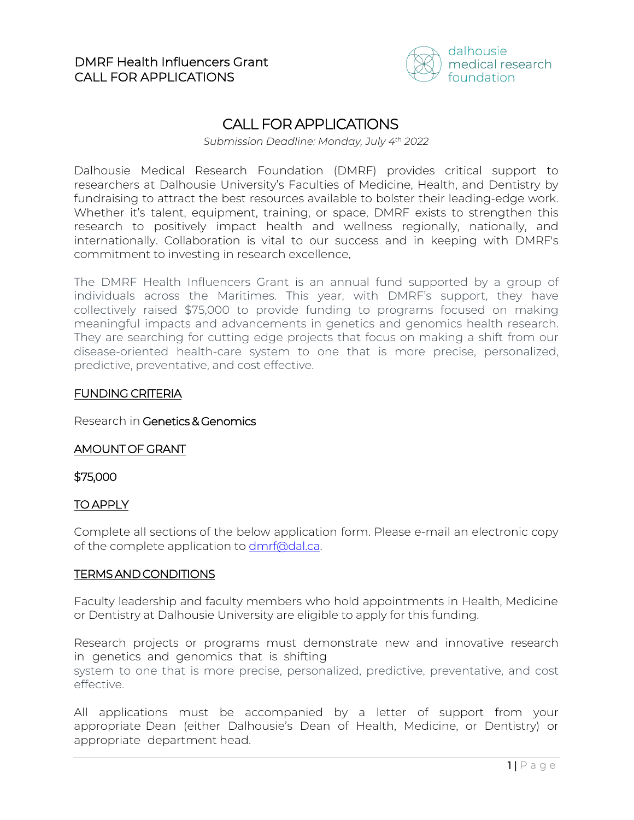

# CALL FOR APPLICATIONS

*Submission Deadline: Monday, July 4th 2022*

Dalhousie Medical Research Foundation (DMRF) provides critical support to researchers at Dalhousie University's Faculties of Medicine, Health, and Dentistry by fundraising to attract the best resources available to bolster their leading-edge work. Whether it's talent, equipment, training, or space, DMRF exists to strengthen this research to positively impact health and wellness regionally, nationally, and internationally. Collaboration is vital to our success and in keeping with DMRF's commitment to investing in research excellence.

The DMRF Health Influencers Grant is an annual fund supported by a group of individuals across the Maritimes. This year, with DMRF's support, they have collectively raised \$75,000 to provide funding to programs focused on making meaningful impacts and advancements in genetics and genomics health research. They are searching for cutting edge projects that focus on making a shift from our disease-oriented health-care system to one that is more precise, personalized, predictive, preventative, and cost effective.

### FUNDING CRITERIA

Research in Genetics & Genomics

# AMOUNT OF GRANT

#### \$75,000

# TO APPLY

Complete all sections of the below application form. Please e-mail an electronic copy of the complete application to [dmrf@dal.ca.](mailto:dmrf@dal.ca)

# TERMS AND CONDITIONS

Faculty leadership and faculty members who hold appointments in Health, Medicine or Dentistry at Dalhousie University are eligible to apply for this funding.

Research projects or programs must demonstrate new and innovative research in genetics and genomics that is shifting

system to one that is more precise, personalized, predictive, preventative, and cost effective.

All applications must be accompanied by a letter of support from your appropriate Dean (either Dalhousie's Dean of Health, Medicine, or Dentistry) or appropriate department head.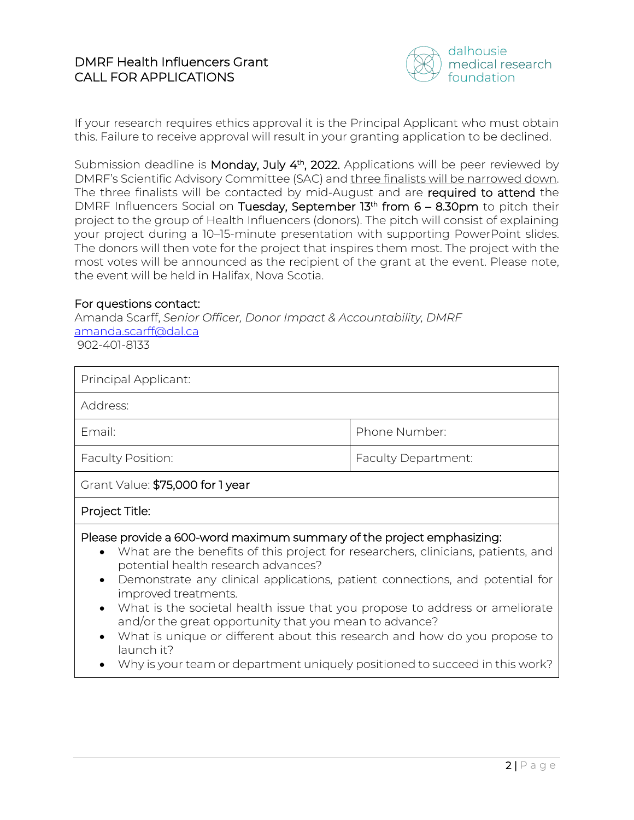

If your research requires ethics approval it is the Principal Applicant who must obtain this. Failure to receive approval will result in your granting application to be declined.

Submission deadline is Monday, July 4<sup>th</sup>, 2022. Applications will be peer reviewed by DMRF's Scientific Advisory Committee (SAC) and three finalists will be narrowed down. The three finalists will be contacted by mid-August and are required to attend the DMRF Influencers Social on Tuesday, September 13<sup>th</sup> from 6 – 8.30pm to pitch their project to the group of Health Influencers (donors). The pitch will consist of explaining your project during a 10–15-minute presentation with supporting PowerPoint slides. The donors will then vote for the project that inspires them most. The project with the most votes will be announced as the recipient of the grant at the event. Please note, the event will be held in Halifax, Nova Scotia.

#### For questions contact:

Amanda Scarff, *Senior Officer, Donor Impact & Accountability, DMRF* [amanda.scarff@dal.ca](mailto:amanda.scarff@dal.ca) 902-401-8133

| Principal Applicant:                                                                                                                                                                                                                                                                                                                                                                                                                                                                                                                                                                                                           |  |  |
|--------------------------------------------------------------------------------------------------------------------------------------------------------------------------------------------------------------------------------------------------------------------------------------------------------------------------------------------------------------------------------------------------------------------------------------------------------------------------------------------------------------------------------------------------------------------------------------------------------------------------------|--|--|
| Address:                                                                                                                                                                                                                                                                                                                                                                                                                                                                                                                                                                                                                       |  |  |
| Email:<br>Phone Number:                                                                                                                                                                                                                                                                                                                                                                                                                                                                                                                                                                                                        |  |  |
| <b>Faculty Position:</b><br><b>Faculty Department:</b>                                                                                                                                                                                                                                                                                                                                                                                                                                                                                                                                                                         |  |  |
| Grant Value: \$75,000 for 1 year                                                                                                                                                                                                                                                                                                                                                                                                                                                                                                                                                                                               |  |  |
| Project Title:                                                                                                                                                                                                                                                                                                                                                                                                                                                                                                                                                                                                                 |  |  |
| Please provide a 600-word maximum summary of the project emphasizing:<br>• What are the benefits of this project for researchers, clinicians, patients, and<br>potential health research advances?<br>Demonstrate any clinical applications, patient connections, and potential for<br>improved treatments.<br>What is the societal health issue that you propose to address or ameliorate<br>and/or the great opportunity that you mean to advance?<br>What is unique or different about this research and how do you propose to<br>launch it?<br>Why is your team or department uniquely positioned to succeed in this work? |  |  |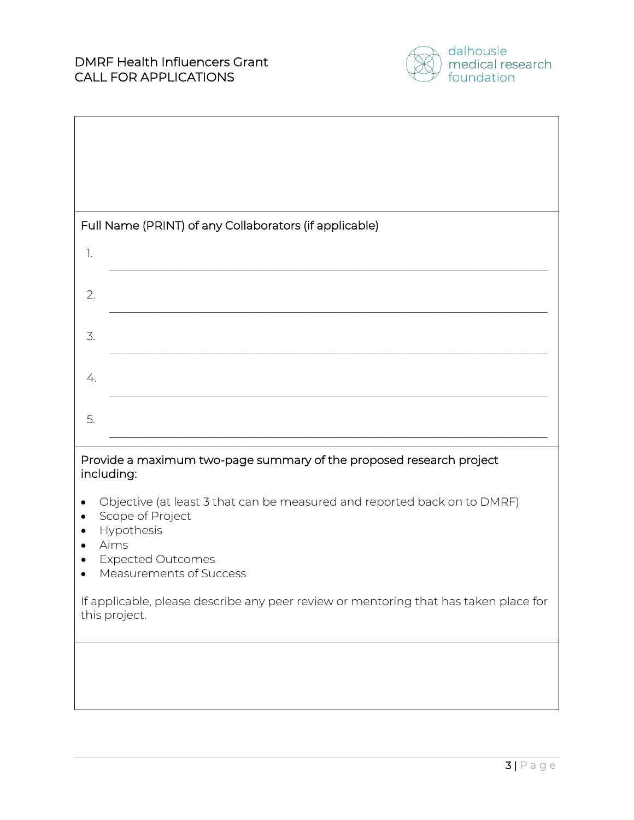

| Full Name (PRINT) of any Collaborators (if applicable)                                                                                                                    |
|---------------------------------------------------------------------------------------------------------------------------------------------------------------------------|
| 1.                                                                                                                                                                        |
| 2.                                                                                                                                                                        |
| 3.                                                                                                                                                                        |
| 4.                                                                                                                                                                        |
| 5.                                                                                                                                                                        |
| Provide a maximum two-page summary of the proposed research project<br>including:                                                                                         |
| Objective (at least 3 that can be measured and reported back on to DMRF)<br>Scope of Project<br>Hypothesis<br>Aims<br><b>Expected Outcomes</b><br>Measurements of Success |
| If applicable, please describe any peer review or mentoring that has taken place for<br>this project.                                                                     |
|                                                                                                                                                                           |
|                                                                                                                                                                           |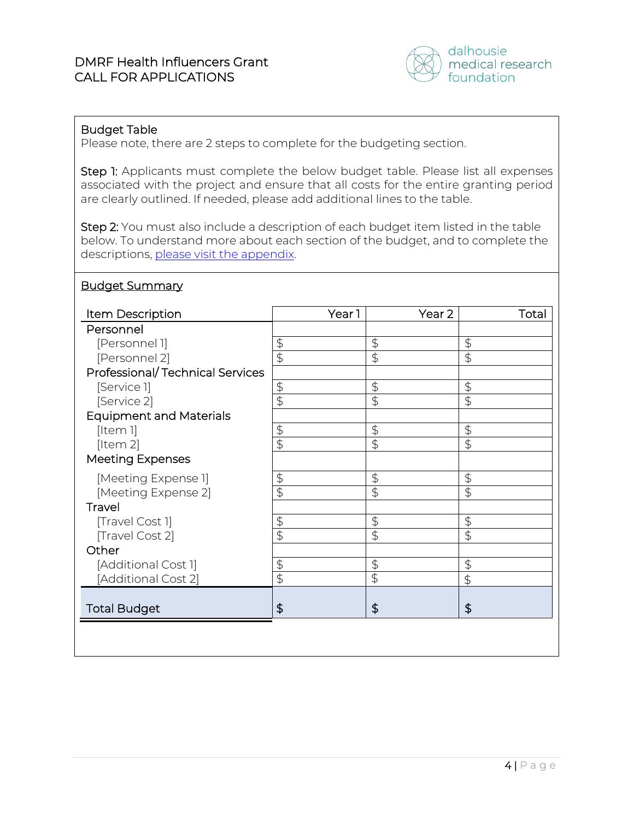

# Budget Table

Please note, there are 2 steps to complete for the budgeting section.

Step 1: Applicants must complete the below budget table. Please list all expenses associated with the project and ensure that all costs for the entire granting period are clearly outlined. If needed, please add additional lines to the table.

Step 2: You must also include a description of each budget item listed in the table below. To understand more about each section of the budget, and to complete the descriptions[, please visit the appendix.](#page-4-0)

#### Budget Summary

| Item Description                       | Year <sub>1</sub>         | Year 2                    | Total                     |
|----------------------------------------|---------------------------|---------------------------|---------------------------|
| Personnel                              |                           |                           |                           |
| [Personnel 1]                          | $\upphi$                  | $\upphi$                  | $\ddot{\mathcal{L}}$      |
| [Personnel 2]                          | $\overline{\mathfrak{s}}$ | $\overline{\mathfrak{s}}$ | \$                        |
| <b>Professional/Technical Services</b> |                           |                           |                           |
| [Service]]                             | \$                        | $\upphi$                  | $\upphi$                  |
| [Service 2]                            | $\overline{\mathfrak{G}}$ | $\ddot{\mathcal{L}}$      | \$                        |
| <b>Equipment and Materials</b>         |                           |                           |                           |
| [Item 1]                               | $\upphi$                  | $\ddot{\phi}$             | $\ddot{\mathcal{L}}$      |
| [Item 2]                               | $\overline{\Theta}$       | $\overline{\mathfrak{s}}$ | $\overline{\mathfrak{s}}$ |
| <b>Meeting Expenses</b>                |                           |                           |                           |
| [Meeting Expense 1]                    | \$                        | $\upphi$                  | $\upphi$                  |
| [Meeting Expense 2]                    | $\overline{\mathfrak{s}}$ | $\overline{\mathfrak{s}}$ | \$                        |
| Travel                                 |                           |                           |                           |
| [Travel Cost 1]                        | \$                        | $\updownarrow$            | $\updownarrow$            |
| [Travel Cost 2]                        | $\overline{\mathfrak{s}}$ | $\ddot{\mathcal{L}}$      | $\overline{\mathfrak{s}}$ |
| Other                                  |                           |                           |                           |
| [Additional Cost 1]                    | \$                        | $\updownarrow$            | $\upphi$                  |
| [Additional Cost 2]                    | $\overline{\mathcal{L}}$  | $\overline{\Theta}$       | \$                        |
|                                        |                           |                           |                           |
| <b>Total Budget</b>                    | \$                        | \$                        | \$                        |
|                                        |                           |                           |                           |
|                                        |                           |                           |                           |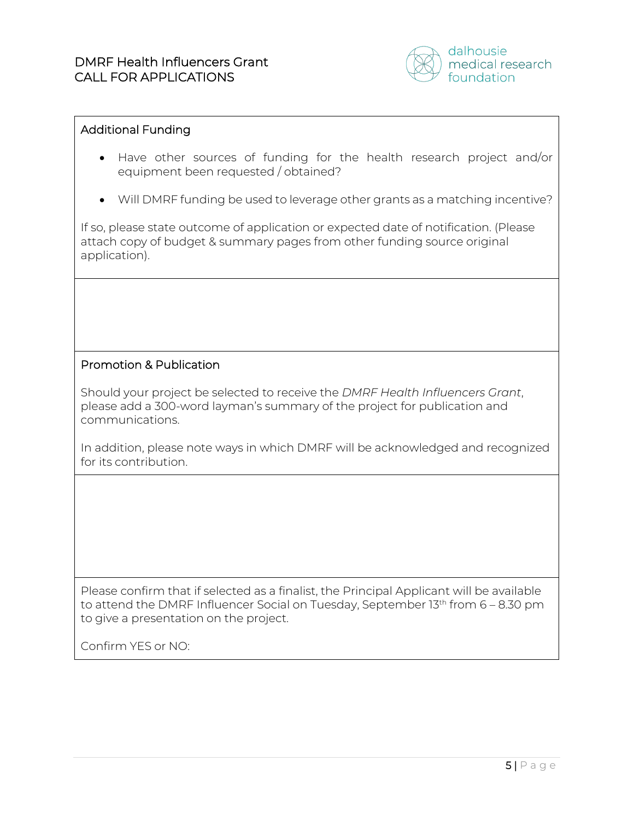

### Additional Funding

- Have other sources of funding for the health research project and/or equipment been requested / obtained?
- Will DMRF funding be used to leverage other grants as a matching incentive?

If so, please state outcome of application or expected date of notification. (Please attach copy of budget & summary pages from other funding source original application).

# Promotion & Publication

Should your project be selected to receive the *DMRF Health Influencers Grant*, please add a 300-word layman's summary of the project for publication and communications.

In addition, please note ways in which DMRF will be acknowledged and recognized for its contribution.

Please confirm that if selected as a finalist, the Principal Applicant will be available to attend the DMRF Influencer Social on Tuesday, September  $13<sup>th</sup>$  from 6 – 8.30 pm to give a presentation on the project.

<span id="page-4-0"></span>Confirm YES or NO: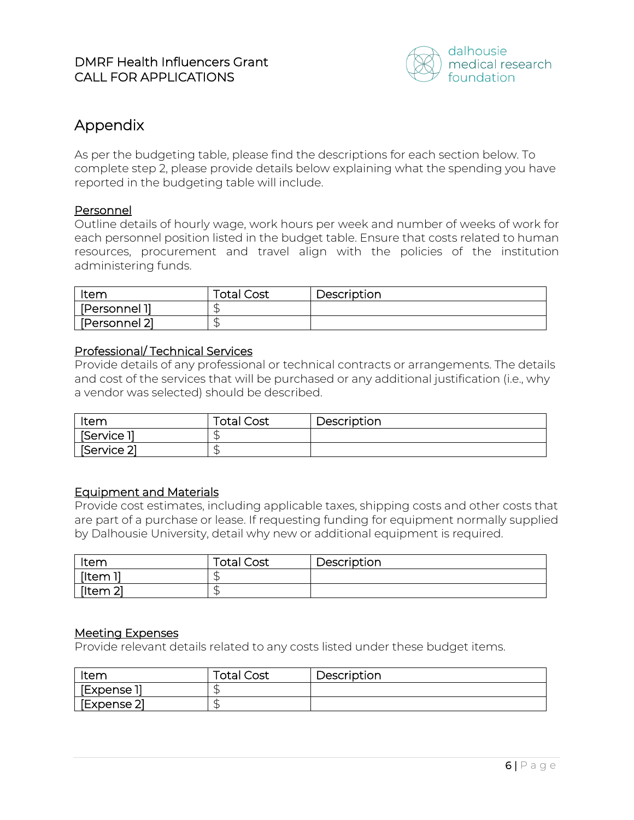

# Appendix

As per the budgeting table, please find the descriptions for each section below. To complete step 2, please provide details below explaining what the spending you have reported in the budgeting table will include.

### Personnel

Outline details of hourly wage, work hours per week and number of weeks of work for each personnel position listed in the budget table. Ensure that costs related to human resources, procurement and travel align with the policies of the institution administering funds.

| Item          | <b>Total Cost</b> | Description |
|---------------|-------------------|-------------|
| [Personnel 1] |                   |             |
| [Personnel 2] |                   |             |

#### Professional/ Technical Services

Provide details of any professional or technical contracts or arrangements. The details and cost of the services that will be purchased or any additional justification (i.e., why a vendor was selected) should be described.

| Item        | <b>Total Cost</b> | Description |
|-------------|-------------------|-------------|
| [Service 1] | ىك                |             |
| [Service 2] | s.                |             |

# Equipment and Materials

Provide cost estimates, including applicable taxes, shipping costs and other costs that are part of a purchase or lease. If requesting funding for equipment normally supplied by Dalhousie University, detail why new or additional equipment is required.

| ltem     | <b>Total Cost</b> | Description |
|----------|-------------------|-------------|
| [Item 1] | s.                |             |
| [Item 2] | ٠F                |             |

#### Meeting Expenses

Provide relevant details related to any costs listed under these budget items.

| Item                      | <b>Total Cost</b> | Description |
|---------------------------|-------------------|-------------|
| ' [Expense 1 <sub>]</sub> |                   |             |
| [Expense 2]               |                   |             |